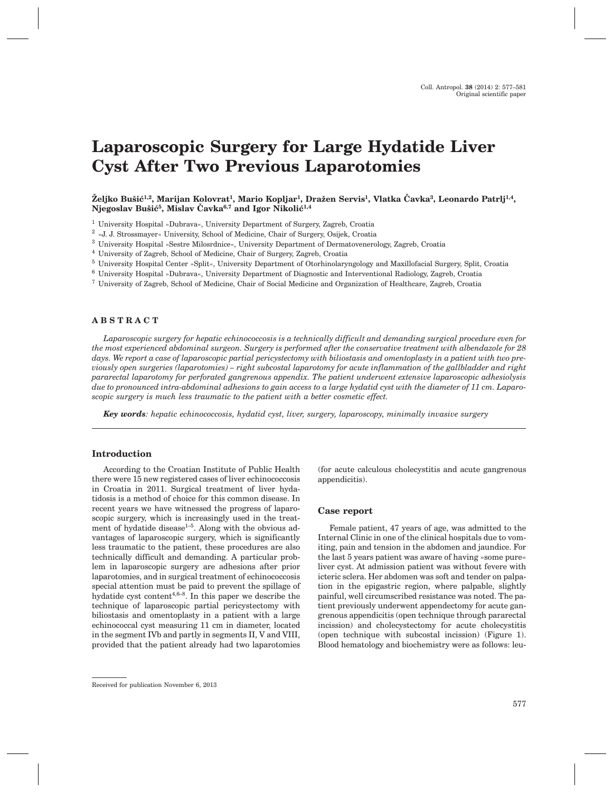# **Laparoscopic Surgery for Large Hydatide Liver Cyst After Two Previous Laparotomies**

## Željko Bušić<sup>1,2</sup>, Marijan Kolovrat<sup>1</sup>, Mario Kopljar<sup>1</sup>, Dražen Servis<sup>1</sup>, Vlatka Čavka<sup>3</sup>, Leonardo Patrlj<sup>1,4</sup>, Njegoslav Bušić<sup>5</sup>, Mislav Čavka<sup>6,7</sup> and Igor Nikolić<sup>1,4</sup>

- <sup>1</sup> University Hospital »Dubrava«, University Department of Surgery, Zagreb, Croatia
- <sup>2</sup> »J. J. Strossmayer« University, School of Medicine, Chair of Surgery, Osijek, Croatia
- <sup>3</sup> University Hospital »Sestre Milosrdnice«, University Department of Dermatovenerology, Zagreb, Croatia
- <sup>4</sup> University of Zagreb, School of Medicine, Chair of Surgery, Zagreb, Croatia
- <sup>5</sup> University Hospital Center »Split«, University Department of Otorhinolaryngology and Maxillofacial Surgery, Split, Croatia
- <sup>6</sup> University Hospital »Dubrava«, University Department of Diagnostic and Interventional Radiology, Zagreb, Croatia
- <sup>7</sup> University of Zagreb, School of Medicine, Chair of Social Medicine and Organization of Healthcare, Zagreb, Croatia

## **ABSTRACT**

*Laparoscopic surgery for hepatic echinococcosis is a technically difficult and demanding surgical procedure even for the most experienced abdominal surgeon. Surgery is performed after the conservative treatment with albendazole for 28 days. We report a case of laparoscopic partial pericystectomy with biliostasis and omentoplasty in a patient with two previously open surgeries (laparotomies) – right subcostal laparotomy for acute inflammation of the gallbladder and right pararectal laparotomy for perforated gangrenous appendix. The patient underwent extensive laparoscopic adhesiolysis due to pronounced intra-abdominal adhesions to gain access to a large hydatid cyst with the diameter of 11 cm. Laparoscopic surgery is much less traumatic to the patient with a better cosmetic effect.*

*Key words: hepatic echinococcosis, hydatid cyst, liver, surgery, laparoscopy, minimally invasive surgery*

## **Introduction**

According to the Croatian Institute of Public Health there were 15 new registered cases of liver echinococcosis in Croatia in 2011. Surgical treatment of liver hydatidosis is a method of choice for this common disease. In recent years we have witnessed the progress of laparoscopic surgery, which is increasingly used in the treatment of hydatide disease<sup> $1-5$ </sup>. Along with the obvious advantages of laparoscopic surgery, which is significantly less traumatic to the patient, these procedures are also technically difficult and demanding. A particular problem in laparoscopic surgery are adhesions after prior laparotomies, and in surgical treatment of echinococcosis special attention must be paid to prevent the spillage of hydatide cyst content<sup>4,6–8</sup>. In this paper we describe the technique of laparoscopic partial pericystectomy with biliostasis and omentoplasty in a patient with a large echinococcal cyst measuring 11 cm in diameter, located in the segment IVb and partly in segments II, V and VIII, provided that the patient already had two laparotomies (for acute calculous cholecystitis and acute gangrenous appendicitis).

## **Case report**

Female patient, 47 years of age, was admitted to the Internal Clinic in one of the clinical hospitals due to vomiting, pain and tension in the abdomen and jaundice. For the last 5 years patient was aware of having »some pure« liver cyst. At admission patient was without fevere with icteric sclera. Her abdomen was soft and tender on palpation in the epigastric region, where palpable, slightly painful, well circumscribed resistance was noted. The patient previously underwent appendectomy for acute gangrenous appendicitis (open technique through pararectal incission) and cholecystectomy for acute cholecystitis (open technique with subcostal incission) (Figure 1). Blood hematology and biochemistry were as follows: leu-

Received for publication November 6, 2013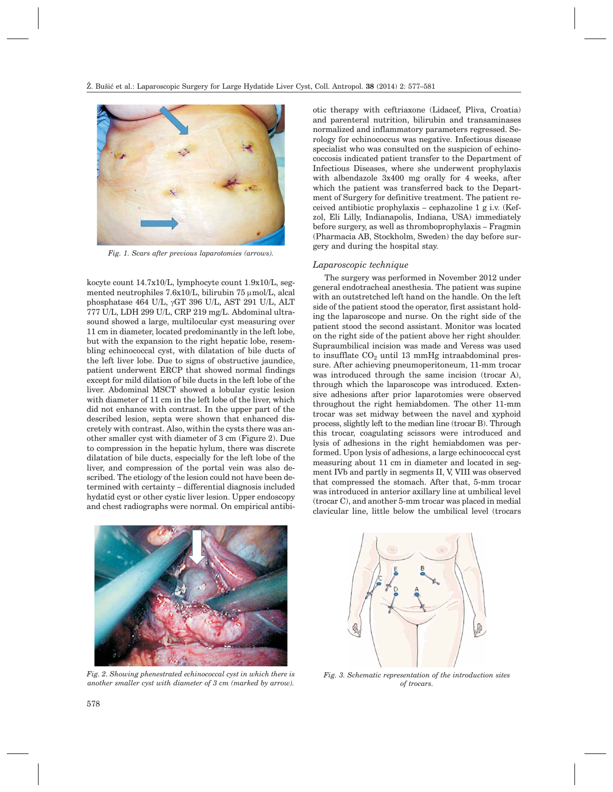

*Fig. 1. Scars after previous laparotomies (arrows).*

kocyte count 14.7x10/L, lymphocyte count 1.9x10/L, segmented neutrophiles  $7.6x10/L$ , bilirubin  $75 \mu$ mol/L, alcal phosphatase 464 U/L, gGT 396 U/L, AST 291 U/L, ALT 777 U/L, LDH 299 U/L, CRP 219 mg/L. Abdominal ultrasound showed a large, multilocular cyst measuring over 11 cm in diameter, located predominantly in the left lobe, but with the expansion to the right hepatic lobe, resembling echinococcal cyst, with dilatation of bile ducts of the left liver lobe. Due to signs of obstructive jaundice, patient underwent ERCP that showed normal findings except for mild dilation of bile ducts in the left lobe of the liver. Abdominal MSCT showed a lobular cystic lesion with diameter of 11 cm in the left lobe of the liver, which did not enhance with contrast. In the upper part of the described lesion, septa were shown that enhanced discretely with contrast. Also, within the cysts there was another smaller cyst with diameter of 3 cm (Figure 2). Due to compression in the hepatic hylum, there was discrete dilatation of bile ducts, especially for the left lobe of the liver, and compression of the portal vein was also described. The etiology of the lesion could not have been determined with certainty – differential diagnosis included hydatid cyst or other cystic liver lesion. Upper endoscopy and chest radiographs were normal. On empirical antibiotic therapy with ceftriaxone (Lidacef, Pliva, Croatia) and parenteral nutrition, bilirubin and transaminases normalized and inflammatory parameters regressed. Serology for echinococcus was negative. Infectious disease specialist who was consulted on the suspicion of echinococcosis indicated patient transfer to the Department of Infectious Diseases, where she underwent prophylaxis with albendazole 3x400 mg orally for 4 weeks, after which the patient was transferred back to the Department of Surgery for definitive treatment. The patient received antibiotic prophylaxis – cephazoline  $1 \text{ g i.v.}$  (Kefzol, Eli Lilly, Indianapolis, Indiana, USA) immediately before surgery, as well as thromboprophylaxis – Fragmin (Pharmacia AB, Stockholm, Sweden) the day before surgery and during the hospital stay.

#### *Laparoscopic technique*

The surgery was performed in November 2012 under general endotracheal anesthesia. The patient was supine with an outstretched left hand on the handle. On the left side of the patient stood the operator, first assistant holding the laparoscope and nurse. On the right side of the patient stood the second assistant. Monitor was located on the right side of the patient above her right shoulder. Supraumbilical incision was made and Veress was used to insufflate  $CO<sub>2</sub>$  until 13 mmHg intraabdominal pressure. After achieving pneumoperitoneum, 11-mm trocar was introduced through the same incision (trocar A), through which the laparoscope was introduced. Extensive adhesions after prior laparotomies were observed throughout the right hemiabdomen. The other 11-mm trocar was set midway between the navel and xyphoid process, slightly left to the median line (trocar B). Through this trocar, coagulating scissors were introduced and lysis of adhesions in the right hemiabdomen was performed. Upon lysis of adhesions, a large echinococcal cyst measuring about 11 cm in diameter and located in segment IVb and partly in segments II, V, VIII was observed that compressed the stomach. After that, 5-mm trocar was introduced in anterior axillary line at umbilical level (trocar C), and another 5-mm trocar was placed in medial clavicular line, little below the umbilical level (trocars



*Fig. 2. Showing phenestrated echinococcal cyst in which there is another smaller cyst with diameter of 3 cm (marked by arrow).*



*Fig. 3. Schematic representation of the introduction sites of trocars.*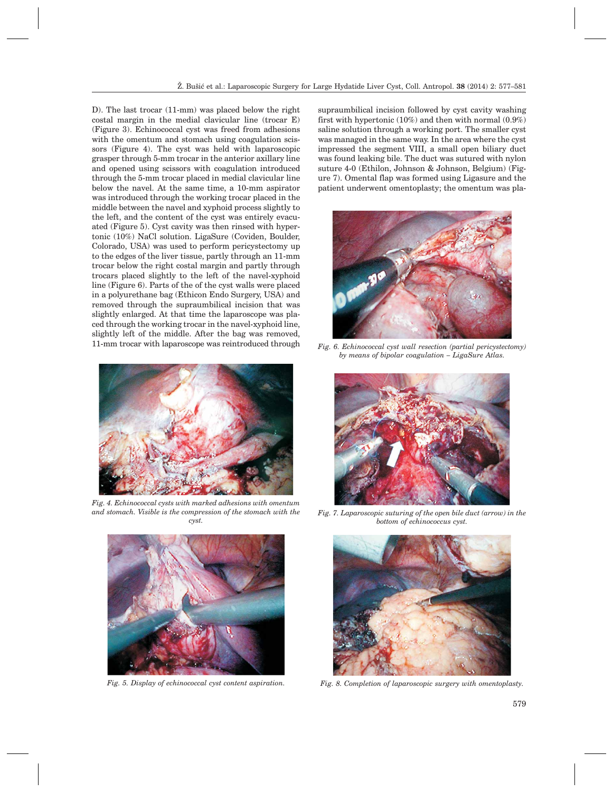D). The last trocar (11-mm) was placed below the right costal margin in the medial clavicular line (trocar E) (Figure 3). Echinococcal cyst was freed from adhesions with the omentum and stomach using coagulation scissors (Figure 4). The cyst was held with laparoscopic grasper through 5-mm trocar in the anterior axillary line and opened using scissors with coagulation introduced through the 5-mm trocar placed in medial clavicular line below the navel. At the same time, a 10-mm aspirator was introduced through the working trocar placed in the middle between the navel and xyphoid process slightly to the left, and the content of the cyst was entirely evacuated (Figure 5). Cyst cavity was then rinsed with hypertonic (10%) NaCl solution. LigaSure (Coviden, Boulder, Colorado, USA) was used to perform pericystectomy up to the edges of the liver tissue, partly through an 11-mm trocar below the right costal margin and partly through trocars placed slightly to the left of the navel-xyphoid line (Figure 6). Parts of the of the cyst walls were placed in a polyurethane bag (Ethicon Endo Surgery, USA) and removed through the supraumbilical incision that was slightly enlarged. At that time the laparoscope was placed through the working trocar in the navel-xyphoid line, slightly left of the middle. After the bag was removed, 11-mm trocar with laparoscope was reintroduced through



*Fig. 4. Echinococcal cysts with marked adhesions with omentum and stomach. Visible is the compression of the stomach with the cyst.*



supraumbilical incision followed by cyst cavity washing first with hypertonic (10%) and then with normal (0.9%) saline solution through a working port. The smaller cyst was managed in the same way. In the area where the cyst impressed the segment VIII, a small open biliary duct was found leaking bile. The duct was sutured with nylon suture 4-0 (Ethilon, Johnson & Johnson, Belgium) (Figure 7). Omental flap was formed using Ligasure and the patient underwent omentoplasty; the omentum was pla-



*Fig. 6. Echinococcal cyst wall resection (partial pericystectomy) by means of bipolar coagulation – LigaSure Atlas.*



*Fig. 7. Laparoscopic suturing of the open bile duct (arrow) in the bottom of echinococcus cyst.*



*Fig. 5. Display of echinococcal cyst content aspiration. Fig. 8. Completion of laparoscopic surgery with omentoplasty.*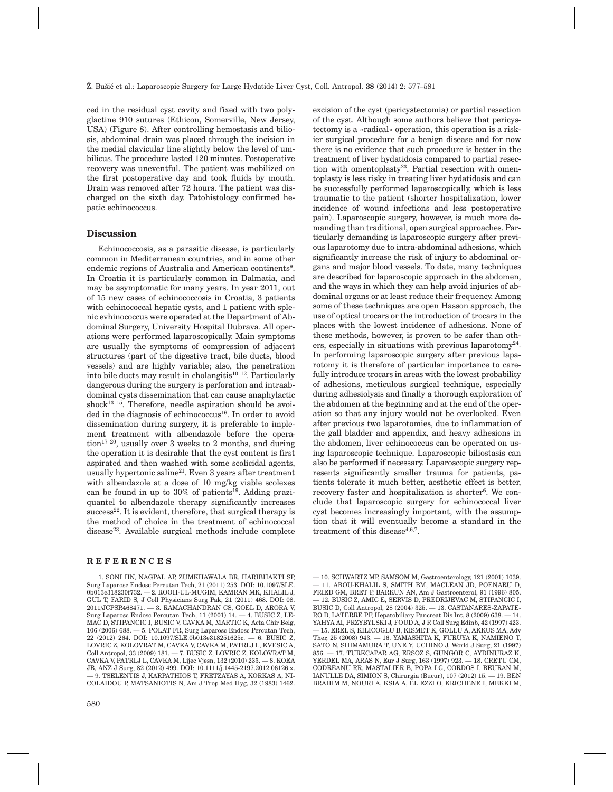ced in the residual cyst cavity and fixed with two polyglactine 910 sutures (Ethicon, Somerville, New Jersey, USA) (Figure 8). After controlling hemostasis and biliosis, abdominal drain was placed through the incision in the medial clavicular line slightly below the level of umbilicus. The procedure lasted 120 minutes. Postoperative recovery was uneventful. The patient was mobilized on the first postoperative day and took fluids by mouth. Drain was removed after 72 hours. The patient was discharged on the sixth day. Patohistology confirmed hepatic echinococcus.

#### **Discussion**

Echinococcosis, as a parasitic disease, is particularly common in Mediterranean countries, and in some other endemic regions of Australia and American continents<sup>9</sup>. In Croatia it is particularly common in Dalmatia, and may be asymptomatic for many years. In year 2011, out of 15 new cases of echinococcosis in Croatia, 3 patients with echinococcal hepatic cysts, and 1 patient with splenic evhinococcus were operated at the Department of Abdominal Surgery, University Hospital Dubrava. All operations were performed laparoscopically. Main symptoms are usually the symptoms of compression of adjacent structures (part of the digestive tract, bile ducts, blood vessels) and are highly variable; also, the penetration into bile ducts may result in cholangitis<sup>10–12</sup>. Particularly dangerous during the surgery is perforation and intraabdominal cysts dissemination that can cause anaphylactic shock $13-15$ . Therefore, needle aspiration should be avoided in the diagnosis of echinococcus<sup>16</sup>. In order to avoid dissemination during surgery, it is preferable to implement treatment with albendazole before the operation<sup>17-20</sup>, usually over 3 weeks to 2 months, and during the operation it is desirable that the cyst content is first aspirated and then washed with some scolicidal agents, usually hypertonic saline<sup>21</sup>. Even 3 years after treatment with albendazole at a dose of 10 mg/kg viable scolexes can be found in up to  $30\%$  of patients<sup>19</sup>. Adding praziquantel to albendazole therapy significantly increases  $success<sup>22</sup>$ . It is evident, therefore, that surgical therapy is the method of choice in the treatment of echinococcal disease23. Available surgical methods include complete

## **REFERENCES**

1. SONI HN, NAGPAL AP, ZUMKHAWALA BR, HARIBHAKTI SP, Surg Laparosc Endosc Percutan Tech, 21 (2011) 253. DOI: 10.1097/SLE. 0b013e318230f732. — 2. ROOH-UL-MUGIM, KAMRAN MK, KHALIL J, GUL T, FARID S, J Coll Physicians Surg Pak, 21 (2011) 468. DOI: 08. 2011/JCPSP.468471. — 3. RAMACHANDRAN CS, GOEL D, ARORA V, Surg Laparosc Endosc Percutan Tech, 11 (2001) 14. — 4. BUSIC Z, LE-MAC D, STIPANCIC I, BUSIC V, CAVKA M, MARTIC K, Acta Chir Belg, 106 (2006) 688. — 5. POLAT FR, Surg Laparosc Endosc Percutan Tech, 22 (2012) 264. DOI: 10.1097/SLE.0b013e318251625c. — 6. BUSIC Z, LOVRIC Z, KOLOVRAT M, CAVKA V, CAVKA M, PATRLJ L, KVESIC A, Coll Antropol, 33 (2009) 181. — 7. BUSIC Z, LOVRIC Z, KOLOVRAT M, CAVKA V, PATRLJ L, CAVKA M, Lijec Vjesn, 132 (2010) 235. — 8. KOEA JB, ANZ J Surg, 82 (2012) 499. DOI: 10.1111/j.1445-2197.2012.06126.x. — 9. TSELENTIS J, KARPATHIOS T, FRETZAYAS A, KORKAS A, NI-COLAIDOU P, MATSANIOTIS N, Am J Trop Med Hyg, 32 (1983) 1462.

excision of the cyst (pericystectomia) or partial resection of the cyst. Although some authors believe that pericystectomy is a »radical« operation, this operation is a riskier surgical procedure for a benign disease and for now there is no evidence that such procedure is better in the treatment of liver hydatidosis compared to partial resection with omentoplasty<sup>23</sup>. Partial resection with omentoplasty is less risky in treating liver hydatidosis and can be successfully performed laparoscopically, which is less traumatic to the patient (shorter hospitalization, lower incidence of wound infections and less postoperative pain). Laparoscopic surgery, however, is much more demanding than traditional, open surgical approaches. Particularly demanding is laparoscopic surgery after previous laparotomy due to intra-abdominal adhesions, which significantly increase the risk of injury to abdominal organs and major blood vessels. To date, many techniques are described for laparoscopic approach in the abdomen, and the ways in which they can help avoid injuries of abdominal organs or at least reduce their frequency. Among some of these techniques are open Hasson approach, the use of optical trocars or the introduction of trocars in the places with the lowest incidence of adhesions. None of these methods, however, is proven to be safer than others, especially in situations with previous laparotomy<sup>24</sup>. In performing laparoscopic surgery after previous laparotomy it is therefore of particular importance to carefully introduce trocars in areas with the lowest probability of adhesions, meticulous surgical technique, especially during adhesiolysis and finally a thorough exploration of the abdomen at the beginning and at the end of the operation so that any injury would not be overlooked. Even after previous two laparotomies, due to inflammation of the gall bladder and appendix, and heavy adhesions in the abdomen, liver echinococcus can be operated on using laparoscopic technique. Laparoscopic biliostasis can also be performed if necessary. Laparoscopic surgery represents significantly smaller trauma for patients, patients tolerate it much better, aesthetic effect is better, recovery faster and hospitalization is shorter<sup>6</sup>. We conclude that laparoscopic surgery for echinococcal liver cyst becomes increasingly important, with the assumption that it will eventually become a standard in the treatment of this disease $4,6,7$ .

<sup>— 10.</sup> SCHWARTZ MP, SAMSOM M, Gastroenterology, 121 (2001) 1039. — 11. ABOU-KHALIL S, SMITH BM, MACLEAN JD, POENARU D, FRIED GM, BRET P, BARKUN AN, Am J Gastroenterol, 91 (1996) 805. — 12. BUSIC Z, AMIC E, SERVIS D, PREDRIJEVAC M, STIPANCIC I, BUSIC D, Coll Antropol, 28 (2004) 325. — 13. CASTANARES-ZAPATE-RO D, LATERRE PF, Hepatobiliary Pancreat Dis Int, 8 (2009) 638. — 14. YAHYA AI, PRZYBYLSKI J, FOUD A, J R Coll Surg Edinb, 42 (1997) 423. — 15. EREL S, KILICOGLU B, KISMET K, GOLLU A, AKKUS MA, Adv Ther, 25 (2008) 943. — 16. YAMASHITA K, FURUYA K, NAMIENO T, SATO N, SHIMAMURA T, UNE Y, UCHINO J, World J Surg, 21 (1997) 856. — 17. TURKCAPAR AG, ERSOZ S, GUNGOR C, AYDINURAZ K, YERDEL MA, ARAS N, Eur J Surg, 163 (1997) 923. — 18. CRETU CM, CODREANU RR, MASTALIER B, POPA LG, CORDOS I, BEURAN M, IANULLE DA, SIMION S, Chirurgia (Bucur), 107 (2012) 15. — 19. BEN BRAHIM M, NOURI A, KSIA A, EL EZZI O, KRICHENE I, MEKKI M,